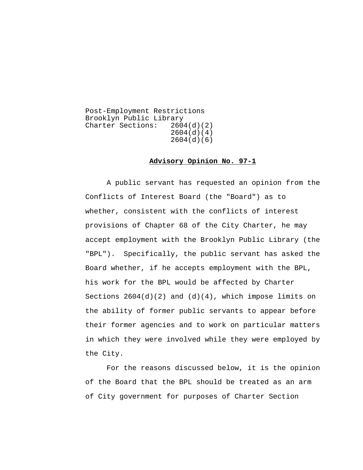Post-Employment Restrictions Brooklyn Public Library<br>Charter Sections: 2604(d)(2) Charter Sections: 2604(d)(4) 2604(d)(6)

## **Advisory Opinion No. 97-1**

A public servant has requested an opinion from the Conflicts of Interest Board (the "Board") as to whether, consistent with the conflicts of interest provisions of Chapter 68 of the City Charter, he may accept employment with the Brooklyn Public Library (the "BPL"). Specifically, the public servant has asked the Board whether, if he accepts employment with the BPL, his work for the BPL would be affected by Charter Sections  $2604(d)(2)$  and  $(d)(4)$ , which impose limits on the ability of former public servants to appear before their former agencies and to work on particular matters in which they were involved while they were employed by the City.

For the reasons discussed below, it is the opinion of the Board that the BPL should be treated as an arm of City government for purposes of Charter Section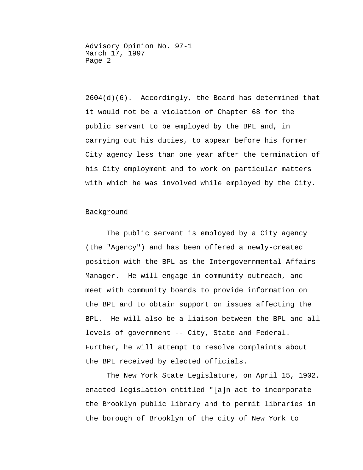2604(d)(6). Accordingly, the Board has determined that it would not be a violation of Chapter 68 for the public servant to be employed by the BPL and, in carrying out his duties, to appear before his former City agency less than one year after the termination of his City employment and to work on particular matters with which he was involved while employed by the City.

## Background

The public servant is employed by a City agency (the "Agency") and has been offered a newly-created position with the BPL as the Intergovernmental Affairs Manager. He will engage in community outreach, and meet with community boards to provide information on the BPL and to obtain support on issues affecting the BPL. He will also be a liaison between the BPL and all levels of government -- City, State and Federal. Further, he will attempt to resolve complaints about the BPL received by elected officials.

The New York State Legislature, on April 15, 1902, enacted legislation entitled "[a]n act to incorporate the Brooklyn public library and to permit libraries in the borough of Brooklyn of the city of New York to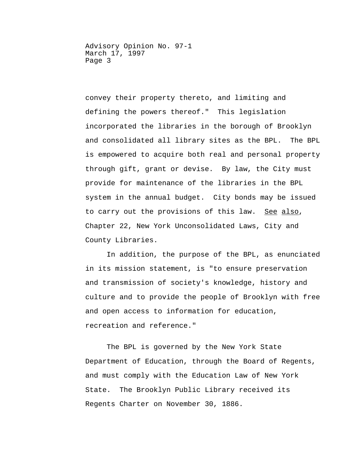convey their property thereto, and limiting and defining the powers thereof." This legislation incorporated the libraries in the borough of Brooklyn and consolidated all library sites as the BPL. The BPL is empowered to acquire both real and personal property through gift, grant or devise. By law, the City must provide for maintenance of the libraries in the BPL system in the annual budget. City bonds may be issued to carry out the provisions of this law. See also, Chapter 22, New York Unconsolidated Laws, City and County Libraries.

In addition, the purpose of the BPL, as enunciated in its mission statement, is "to ensure preservation and transmission of society's knowledge, history and culture and to provide the people of Brooklyn with free and open access to information for education, recreation and reference."

The BPL is governed by the New York State Department of Education, through the Board of Regents, and must comply with the Education Law of New York State. The Brooklyn Public Library received its Regents Charter on November 30, 1886.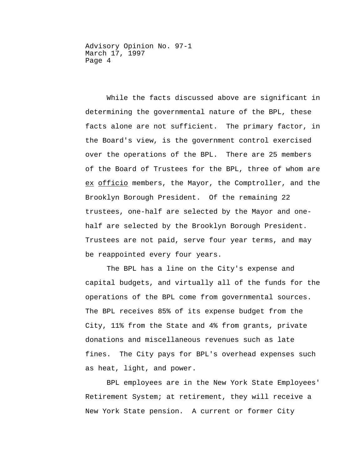While the facts discussed above are significant in determining the governmental nature of the BPL, these facts alone are not sufficient. The primary factor, in the Board's view, is the government control exercised over the operations of the BPL. There are 25 members of the Board of Trustees for the BPL, three of whom are ex officio members, the Mayor, the Comptroller, and the Brooklyn Borough President. Of the remaining 22 trustees, one-half are selected by the Mayor and onehalf are selected by the Brooklyn Borough President. Trustees are not paid, serve four year terms, and may be reappointed every four years.

The BPL has a line on the City's expense and capital budgets, and virtually all of the funds for the operations of the BPL come from governmental sources. The BPL receives 85% of its expense budget from the City, 11% from the State and 4% from grants, private donations and miscellaneous revenues such as late fines. The City pays for BPL's overhead expenses such as heat, light, and power.

BPL employees are in the New York State Employees' Retirement System; at retirement, they will receive a New York State pension. A current or former City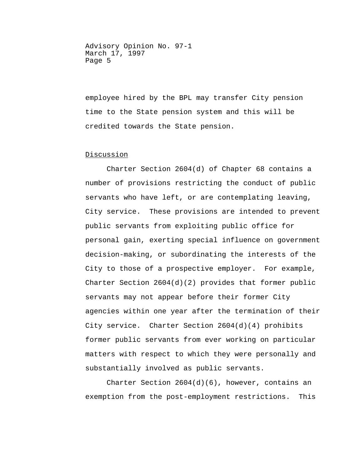employee hired by the BPL may transfer City pension time to the State pension system and this will be credited towards the State pension.

## Discussion

Charter Section 2604(d) of Chapter 68 contains a number of provisions restricting the conduct of public servants who have left, or are contemplating leaving, City service. These provisions are intended to prevent public servants from exploiting public office for personal gain, exerting special influence on government decision-making, or subordinating the interests of the City to those of a prospective employer. For example, Charter Section  $2604(d)(2)$  provides that former public servants may not appear before their former City agencies within one year after the termination of their City service. Charter Section 2604(d)(4) prohibits former public servants from ever working on particular matters with respect to which they were personally and substantially involved as public servants.

Charter Section 2604(d)(6), however, contains an exemption from the post-employment restrictions. This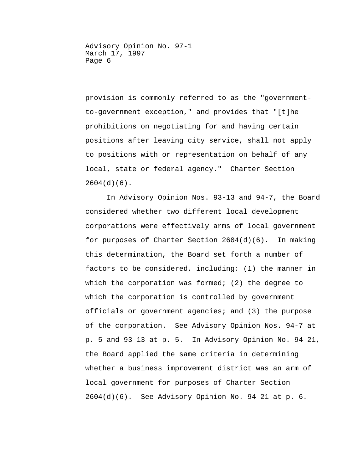provision is commonly referred to as the "governmentto-government exception," and provides that "[t]he prohibitions on negotiating for and having certain positions after leaving city service, shall not apply to positions with or representation on behalf of any local, state or federal agency." Charter Section 2604(d)(6).

In Advisory Opinion Nos. 93-13 and 94-7, the Board considered whether two different local development corporations were effectively arms of local government for purposes of Charter Section 2604(d)(6). In making this determination, the Board set forth a number of factors to be considered, including: (1) the manner in which the corporation was formed; (2) the degree to which the corporation is controlled by government officials or government agencies; and (3) the purpose of the corporation. See Advisory Opinion Nos. 94-7 at p. 5 and 93-13 at p. 5. In Advisory Opinion No. 94-21, the Board applied the same criteria in determining whether a business improvement district was an arm of local government for purposes of Charter Section  $2604(d)(6)$ . See Advisory Opinion No. 94-21 at p. 6.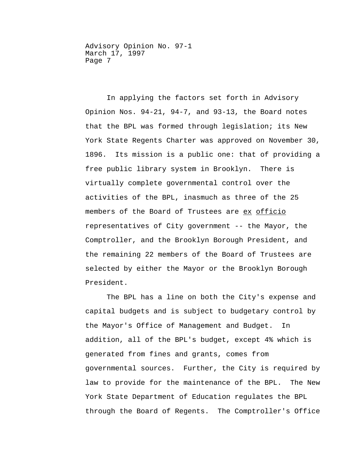In applying the factors set forth in Advisory Opinion Nos. 94-21, 94-7, and 93-13, the Board notes that the BPL was formed through legislation; its New York State Regents Charter was approved on November 30, 1896. Its mission is a public one: that of providing a free public library system in Brooklyn. There is virtually complete governmental control over the activities of the BPL, inasmuch as three of the 25 members of the Board of Trustees are ex officio representatives of City government -- the Mayor, the Comptroller, and the Brooklyn Borough President, and the remaining 22 members of the Board of Trustees are selected by either the Mayor or the Brooklyn Borough President.

 The BPL has a line on both the City's expense and capital budgets and is subject to budgetary control by the Mayor's Office of Management and Budget. In addition, all of the BPL's budget, except 4% which is generated from fines and grants, comes from governmental sources. Further, the City is required by law to provide for the maintenance of the BPL. The New York State Department of Education regulates the BPL through the Board of Regents. The Comptroller's Office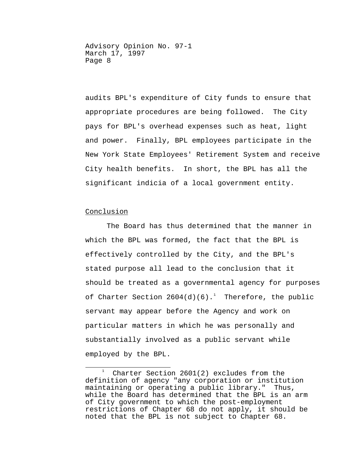audits BPL's expenditure of City funds to ensure that appropriate procedures are being followed. The City pays for BPL's overhead expenses such as heat, light and power. Finally, BPL employees participate in the New York State Employees' Retirement System and receive City health benefits. In short, the BPL has all the significant indicia of a local government entity.

## Conclusion

The Board has thus determined that the manner in which the BPL was formed, the fact that the BPL is effectively controlled by the City, and the BPL's stated purpose all lead to the conclusion that it should be treated as a governmental agency for purposes of Charter Section  $2604(d)(6)$ . Therefore, the public servant may appear before the Agency and work on particular matters in which he was personally and substantially involved as a public servant while employed by the BPL.

<span id="page-7-0"></span>Ξ  $\begin{smallmatrix}1&&1\\1&&1\end{smallmatrix}$  Charter Section 2601(2) excludes from the definition of agency "any corporation or institution maintaining or operating a public library." Thus, while the Board has determined that the BPL is an arm of City government to which the post-employment restrictions of Chapter 68 do not apply, it should be noted that the BPL is not subject to Chapter 68.